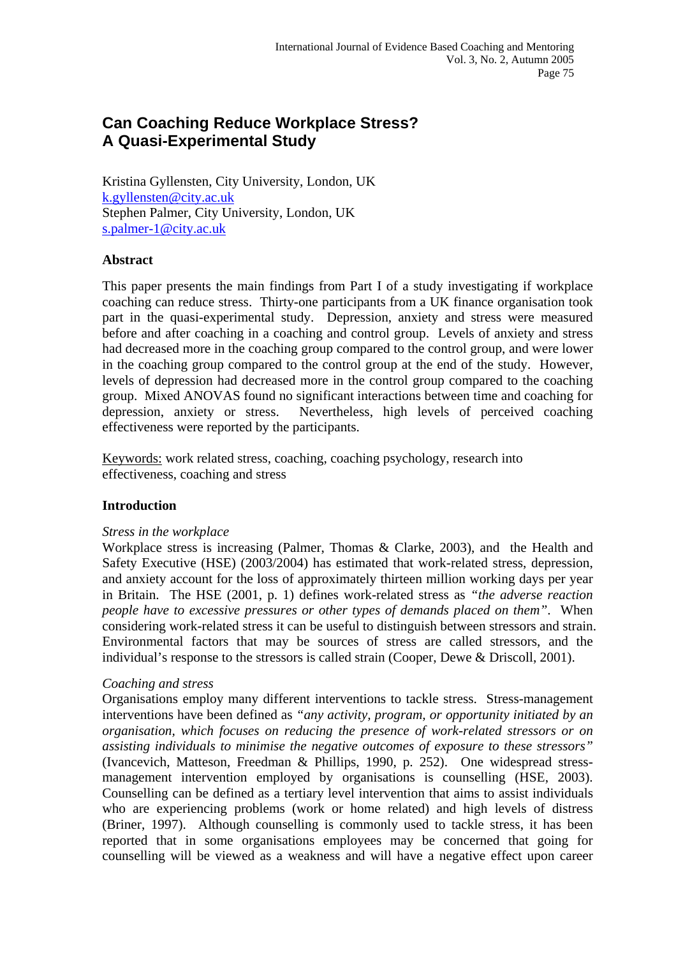# **Can Coaching Reduce Workplace Stress? A Quasi-Experimental Study**

Kristina Gyllensten, City University, London, UK [k.gyllensten@city.ac.uk](mailto:k.gyllensten@city.ac.uk) Stephen Palmer, City University, London, UK [s.palmer-1@city.ac.uk](mailto:s.palmer-1@city.ac.uk)

# **Abstract**

This paper presents the main findings from Part I of a study investigating if workplace coaching can reduce stress. Thirty-one participants from a UK finance organisation took part in the quasi-experimental study. Depression, anxiety and stress were measured before and after coaching in a coaching and control group. Levels of anxiety and stress had decreased more in the coaching group compared to the control group, and were lower in the coaching group compared to the control group at the end of the study. However, levels of depression had decreased more in the control group compared to the coaching group. Mixed ANOVAS found no significant interactions between time and coaching for depression, anxiety or stress. Nevertheless, high levels of perceived coaching effectiveness were reported by the participants.

Keywords: work related stress, coaching, coaching psychology, research into effectiveness, coaching and stress

#### **Introduction**

#### *Stress in the workplace*

Workplace stress is increasing (Palmer, Thomas & Clarke, 2003), and the Health and Safety Executive (HSE) (2003/2004) has estimated that work-related stress, depression, and anxiety account for the loss of approximately thirteen million working days per year in Britain. The HSE (2001, p. 1) defines work-related stress as *"the adverse reaction people have to excessive pressures or other types of demands placed on them"*. When considering work-related stress it can be useful to distinguish between stressors and strain. Environmental factors that may be sources of stress are called stressors, and the individual's response to the stressors is called strain (Cooper, Dewe & Driscoll, 2001).

#### *Coaching and stress*

Organisations employ many different interventions to tackle stress. Stress-management interventions have been defined as *"any activity, program, or opportunity initiated by an organisation, which focuses on reducing the presence of work-related stressors or on assisting individuals to minimise the negative outcomes of exposure to these stressors"*  (Ivancevich, Matteson, Freedman & Phillips, 1990, p. 252). One widespread stressmanagement intervention employed by organisations is counselling (HSE, 2003). Counselling can be defined as a tertiary level intervention that aims to assist individuals who are experiencing problems (work or home related) and high levels of distress (Briner, 1997). Although counselling is commonly used to tackle stress, it has been reported that in some organisations employees may be concerned that going for counselling will be viewed as a weakness and will have a negative effect upon career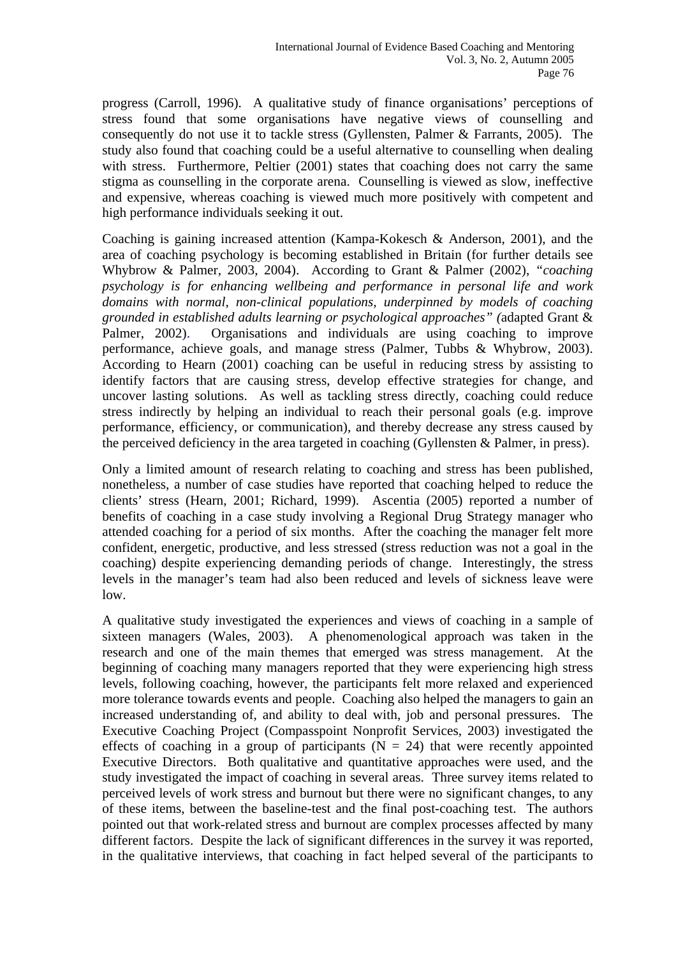progress (Carroll, 1996). A qualitative study of finance organisations' perceptions of stress found that some organisations have negative views of counselling and consequently do not use it to tackle stress (Gyllensten, Palmer & Farrants, 2005). The study also found that coaching could be a useful alternative to counselling when dealing with stress. Furthermore, Peltier (2001) states that coaching does not carry the same stigma as counselling in the corporate arena. Counselling is viewed as slow, ineffective and expensive, whereas coaching is viewed much more positively with competent and high performance individuals seeking it out.

Coaching is gaining increased attention (Kampa-Kokesch & Anderson, 2001), and the area of coaching psychology is becoming established in Britain (for further details see Whybrow & Palmer, 2003, 2004). According to Grant & Palmer (2002), *"coaching psychology is for enhancing wellbeing and performance in personal life and work domains with normal, non-clinical populations, underpinned by models of coaching grounded in established adults learning or psychological approaches" (*adapted Grant & Palmer, 2002). Organisations and individuals are using coaching to improve performance, achieve goals, and manage stress (Palmer, Tubbs & Whybrow, 2003). According to Hearn (2001) coaching can be useful in reducing stress by assisting to identify factors that are causing stress, develop effective strategies for change, and uncover lasting solutions. As well as tackling stress directly, coaching could reduce stress indirectly by helping an individual to reach their personal goals (e.g. improve performance, efficiency, or communication), and thereby decrease any stress caused by the perceived deficiency in the area targeted in coaching (Gyllensten & Palmer, in press).

Only a limited amount of research relating to coaching and stress has been published, nonetheless, a number of case studies have reported that coaching helped to reduce the clients' stress (Hearn, 2001; Richard, 1999). Ascentia (2005) reported a number of benefits of coaching in a case study involving a Regional Drug Strategy manager who attended coaching for a period of six months. After the coaching the manager felt more confident, energetic, productive, and less stressed (stress reduction was not a goal in the coaching) despite experiencing demanding periods of change. Interestingly, the stress levels in the manager's team had also been reduced and levels of sickness leave were low.

A qualitative study investigated the experiences and views of coaching in a sample of sixteen managers (Wales, 2003). A phenomenological approach was taken in the research and one of the main themes that emerged was stress management. At the beginning of coaching many managers reported that they were experiencing high stress levels, following coaching, however, the participants felt more relaxed and experienced more tolerance towards events and people. Coaching also helped the managers to gain an increased understanding of, and ability to deal with, job and personal pressures. The Executive Coaching Project (Compasspoint Nonprofit Services, 2003) investigated the effects of coaching in a group of participants ( $N = 24$ ) that were recently appointed Executive Directors. Both qualitative and quantitative approaches were used, and the study investigated the impact of coaching in several areas. Three survey items related to perceived levels of work stress and burnout but there were no significant changes, to any of these items, between the baseline-test and the final post-coaching test. The authors pointed out that work-related stress and burnout are complex processes affected by many different factors. Despite the lack of significant differences in the survey it was reported, in the qualitative interviews, that coaching in fact helped several of the participants to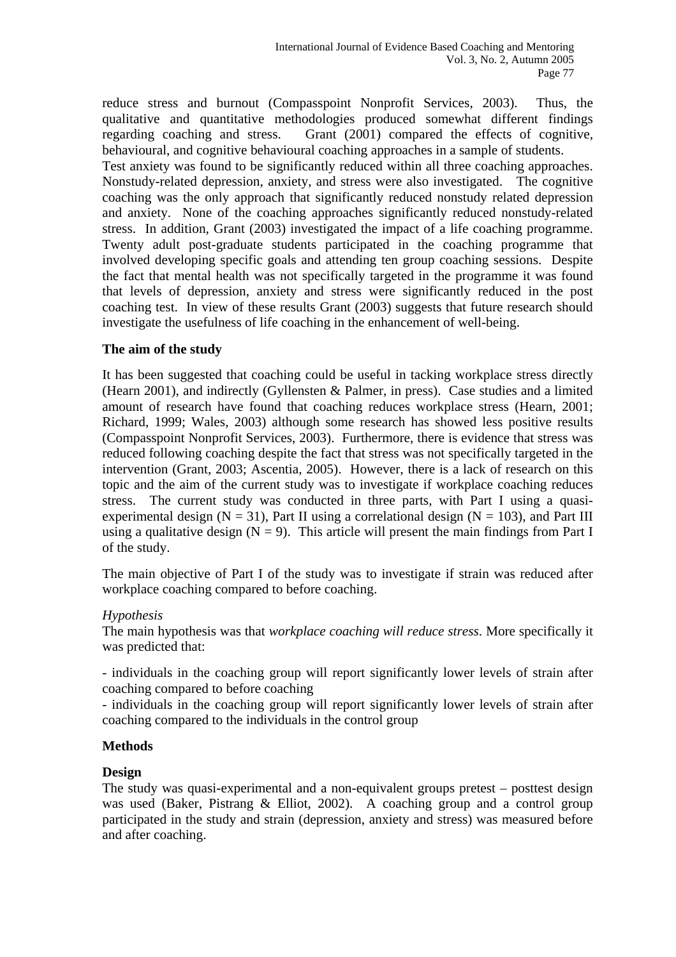reduce stress and burnout (Compasspoint Nonprofit Services, 2003). Thus, the qualitative and quantitative methodologies produced somewhat different findings regarding coaching and stress. Grant (2001) compared the effects of cognitive, behavioural, and cognitive behavioural coaching approaches in a sample of students. Test anxiety was found to be significantly reduced within all three coaching approaches. Nonstudy-related depression, anxiety, and stress were also investigated. The cognitive coaching was the only approach that significantly reduced nonstudy related depression and anxiety. None of the coaching approaches significantly reduced nonstudy-related stress. In addition, Grant (2003) investigated the impact of a life coaching programme. Twenty adult post-graduate students participated in the coaching programme that involved developing specific goals and attending ten group coaching sessions. Despite the fact that mental health was not specifically targeted in the programme it was found that levels of depression, anxiety and stress were significantly reduced in the post coaching test. In view of these results Grant (2003) suggests that future research should investigate the usefulness of life coaching in the enhancement of well-being.

# **The aim of the study**

It has been suggested that coaching could be useful in tacking workplace stress directly (Hearn 2001), and indirectly (Gyllensten & Palmer, in press). Case studies and a limited amount of research have found that coaching reduces workplace stress (Hearn, 2001; Richard, 1999; Wales, 2003) although some research has showed less positive results (Compasspoint Nonprofit Services, 2003). Furthermore, there is evidence that stress was reduced following coaching despite the fact that stress was not specifically targeted in the intervention (Grant, 2003; Ascentia, 2005). However, there is a lack of research on this topic and the aim of the current study was to investigate if workplace coaching reduces stress. The current study was conducted in three parts, with Part I using a quasiexperimental design ( $N = 31$ ), Part II using a correlational design ( $N = 103$ ), and Part III using a qualitative design  $(N = 9)$ . This article will present the main findings from Part I of the study.

The main objective of Part I of the study was to investigate if strain was reduced after workplace coaching compared to before coaching.

#### *Hypothesis*

The main hypothesis was that *workplace coaching will reduce stress*. More specifically it was predicted that:

- individuals in the coaching group will report significantly lower levels of strain after coaching compared to before coaching

- individuals in the coaching group will report significantly lower levels of strain after coaching compared to the individuals in the control group

# **Methods**

#### **Design**

The study was quasi-experimental and a non-equivalent groups pretest – posttest design was used (Baker, Pistrang & Elliot, 2002). A coaching group and a control group participated in the study and strain (depression, anxiety and stress) was measured before and after coaching.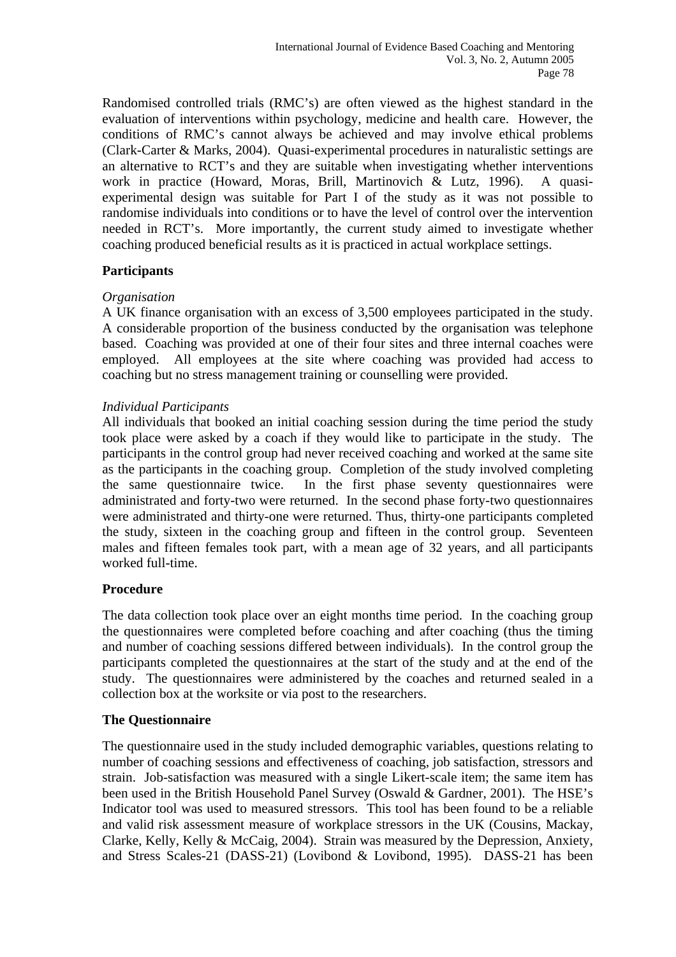Randomised controlled trials (RMC's) are often viewed as the highest standard in the evaluation of interventions within psychology, medicine and health care. However, the conditions of RMC's cannot always be achieved and may involve ethical problems (Clark-Carter & Marks, 2004). Quasi-experimental procedures in naturalistic settings are an alternative to RCT's and they are suitable when investigating whether interventions work in practice (Howard, Moras, Brill, Martinovich & Lutz, 1996). A quasiexperimental design was suitable for Part I of the study as it was not possible to randomise individuals into conditions or to have the level of control over the intervention needed in RCT's. More importantly, the current study aimed to investigate whether coaching produced beneficial results as it is practiced in actual workplace settings.

# **Participants**

# *Organisation*

A UK finance organisation with an excess of 3,500 employees participated in the study. A considerable proportion of the business conducted by the organisation was telephone based. Coaching was provided at one of their four sites and three internal coaches were employed. All employees at the site where coaching was provided had access to coaching but no stress management training or counselling were provided.

# *Individual Participants*

All individuals that booked an initial coaching session during the time period the study took place were asked by a coach if they would like to participate in the study. The participants in the control group had never received coaching and worked at the same site as the participants in the coaching group. Completion of the study involved completing the same questionnaire twice. In the first phase seventy questionnaires were administrated and forty-two were returned. In the second phase forty-two questionnaires were administrated and thirty-one were returned. Thus, thirty-one participants completed the study, sixteen in the coaching group and fifteen in the control group. Seventeen males and fifteen females took part, with a mean age of 32 years, and all participants worked full-time.

# **Procedure**

The data collection took place over an eight months time period. In the coaching group the questionnaires were completed before coaching and after coaching (thus the timing and number of coaching sessions differed between individuals). In the control group the participants completed the questionnaires at the start of the study and at the end of the study. The questionnaires were administered by the coaches and returned sealed in a collection box at the worksite or via post to the researchers.

#### **The Questionnaire**

The questionnaire used in the study included demographic variables, questions relating to number of coaching sessions and effectiveness of coaching, job satisfaction, stressors and strain. Job-satisfaction was measured with a single Likert-scale item; the same item has been used in the British Household Panel Survey (Oswald & Gardner, 2001). The HSE's Indicator tool was used to measured stressors. This tool has been found to be a reliable and valid risk assessment measure of workplace stressors in the UK (Cousins, Mackay, Clarke, Kelly, Kelly & McCaig, 2004). Strain was measured by the Depression, Anxiety, and Stress Scales-21 (DASS-21) (Lovibond & Lovibond, 1995). DASS-21 has been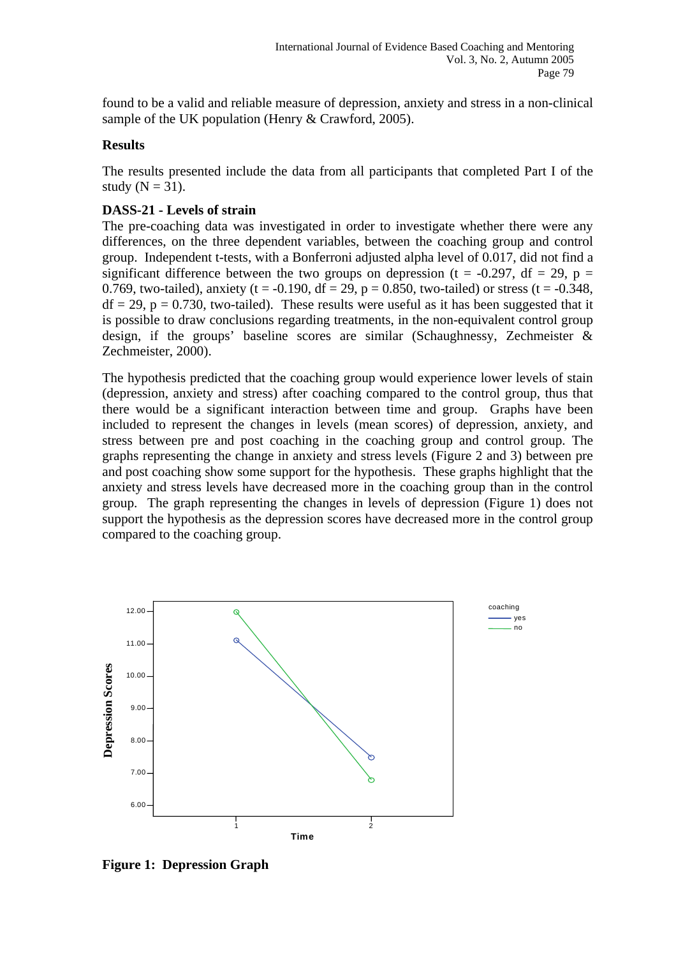found to be a valid and reliable measure of depression, anxiety and stress in a non-clinical sample of the UK population (Henry & Crawford, 2005).

## **Results**

The results presented include the data from all participants that completed Part I of the study ( $N = 31$ ).

# **DASS-21 - Levels of strain**

The pre-coaching data was investigated in order to investigate whether there were any differences, on the three dependent variables, between the coaching group and control group. Independent t-tests, with a Bonferroni adjusted alpha level of 0.017, did not find a significant difference between the two groups on depression (t =  $-0.297$ , df = 29, p = 0.769, two-tailed), anxiety (t = -0.190, df = 29, p = 0.850, two-tailed) or stress (t = -0.348,  $df = 29$ ,  $p = 0.730$ , two-tailed). These results were useful as it has been suggested that it is possible to draw conclusions regarding treatments, in the non-equivalent control group design, if the groups' baseline scores are similar (Schaughnessy, Zechmeister & Zechmeister, 2000).

The hypothesis predicted that the coaching group would experience lower levels of stain (depression, anxiety and stress) after coaching compared to the control group, thus that there would be a significant interaction between time and group. Graphs have been included to represent the changes in levels (mean scores) of depression, anxiety, and stress between pre and post coaching in the coaching group and control group. The graphs representing the change in anxiety and stress levels (Figure 2 and 3) between pre and post coaching show some support for the hypothesis. These graphs highlight that the anxiety and stress levels have decreased more in the coaching group than in the control group. The graph representing the changes in levels of depression (Figure 1) does not support the hypothesis as the depression scores have decreased more in the control group compared to the coaching group.



**Figure 1: Depression Graph**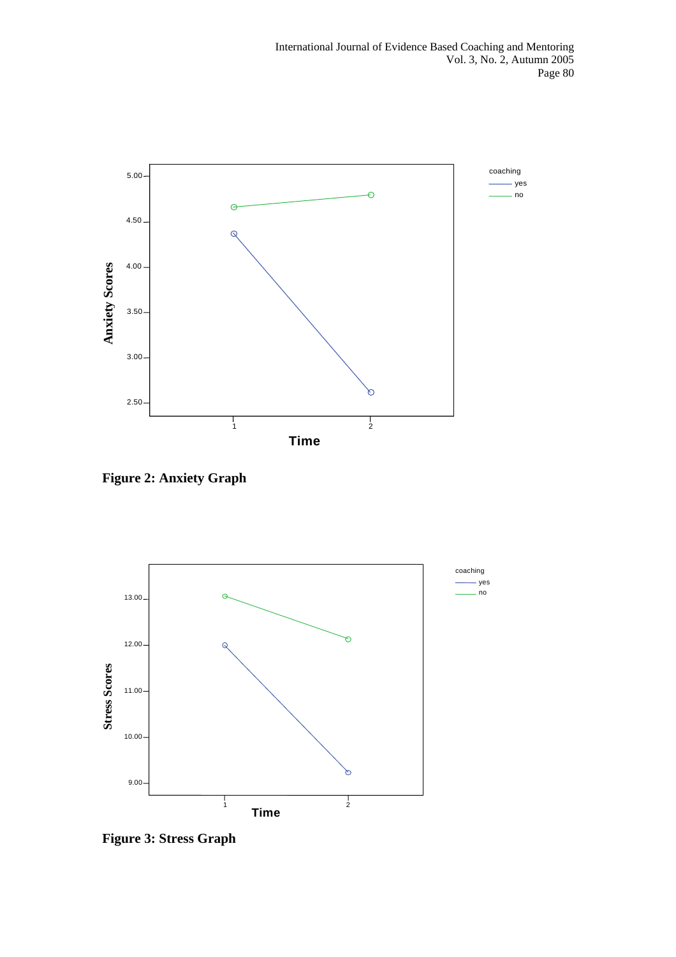

**Figure 2: Anxiety Graph** 



**Figure 3: Stress Graph**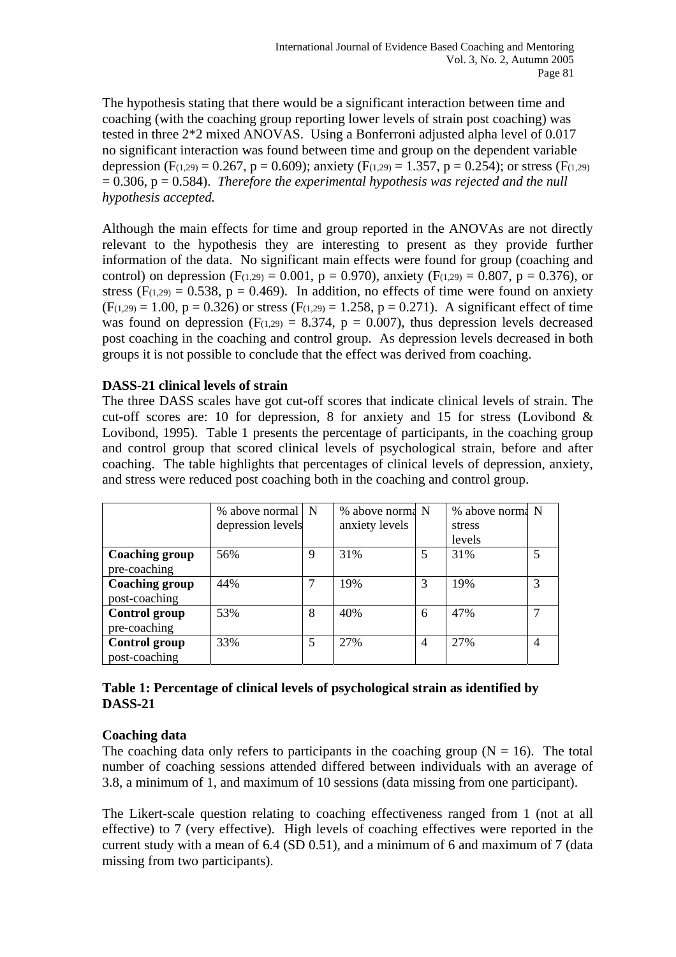The hypothesis stating that there would be a significant interaction between time and coaching (with the coaching group reporting lower levels of strain post coaching) was tested in three 2\*2 mixed ANOVAS. Using a Bonferroni adjusted alpha level of 0.017 no significant interaction was found between time and group on the dependent variable depression (F(1,29) = 0.267, p = 0.609); anxiety (F(1,29) = 1.357, p = 0.254); or stress (F(1,29)  $= 0.306$ ,  $p = 0.584$ ). *Therefore the experimental hypothesis was rejected and the null hypothesis accepted.*

Although the main effects for time and group reported in the ANOVAs are not directly relevant to the hypothesis they are interesting to present as they provide further information of the data. No significant main effects were found for group (coaching and control) on depression (F<sub>(1,29)</sub> = 0,001, p = 0.970), anxiety (F<sub>(1,29)</sub> = 0.807, p = 0.376), or stress ( $F(1,29) = 0.538$ ,  $p = 0.469$ ). In addition, no effects of time were found on anxiety  $(F(1,29) = 1.00, p = 0.326)$  or stress  $(F(1,29) = 1.258, p = 0.271)$ . A significant effect of time was found on depression ( $F(1,29) = 8.374$ ,  $p = 0.007$ ), thus depression levels decreased post coaching in the coaching and control group. As depression levels decreased in both groups it is not possible to conclude that the effect was derived from coaching.

# **DASS-21 clinical levels of strain**

The three DASS scales have got cut-off scores that indicate clinical levels of strain. The cut-off scores are: 10 for depression, 8 for anxiety and 15 for stress (Lovibond & Lovibond, 1995). Table 1 presents the percentage of participants, in the coaching group and control group that scored clinical levels of psychological strain, before and after coaching. The table highlights that percentages of clinical levels of depression, anxiety, and stress were reduced post coaching both in the coaching and control group.

|                       | % above normal   N |   | % above norma N |   | % above norma N |  |
|-----------------------|--------------------|---|-----------------|---|-----------------|--|
|                       | depression levels  |   | anxiety levels  |   | stress          |  |
|                       |                    |   |                 |   | levels          |  |
| <b>Coaching group</b> | 56%                | 9 | 31%             | 5 | 31%             |  |
| pre-coaching          |                    |   |                 |   |                 |  |
| <b>Coaching group</b> | 44%                | 7 | 19%             | 3 | 19%             |  |
| post-coaching         |                    |   |                 |   |                 |  |
| <b>Control group</b>  | 53%                | 8 | 40%             | 6 | 47%             |  |
| pre-coaching          |                    |   |                 |   |                 |  |
| <b>Control group</b>  | 33%                | 5 | 27%             | 4 | 27%             |  |
| post-coaching         |                    |   |                 |   |                 |  |

# **Table 1: Percentage of clinical levels of psychological strain as identified by DASS-21**

# **Coaching data**

The coaching data only refers to participants in the coaching group  $(N = 16)$ . The total number of coaching sessions attended differed between individuals with an average of 3.8, a minimum of 1, and maximum of 10 sessions (data missing from one participant).

The Likert-scale question relating to coaching effectiveness ranged from 1 (not at all effective) to 7 (very effective). High levels of coaching effectives were reported in the current study with a mean of 6.4 (SD 0.51), and a minimum of 6 and maximum of 7 (data missing from two participants).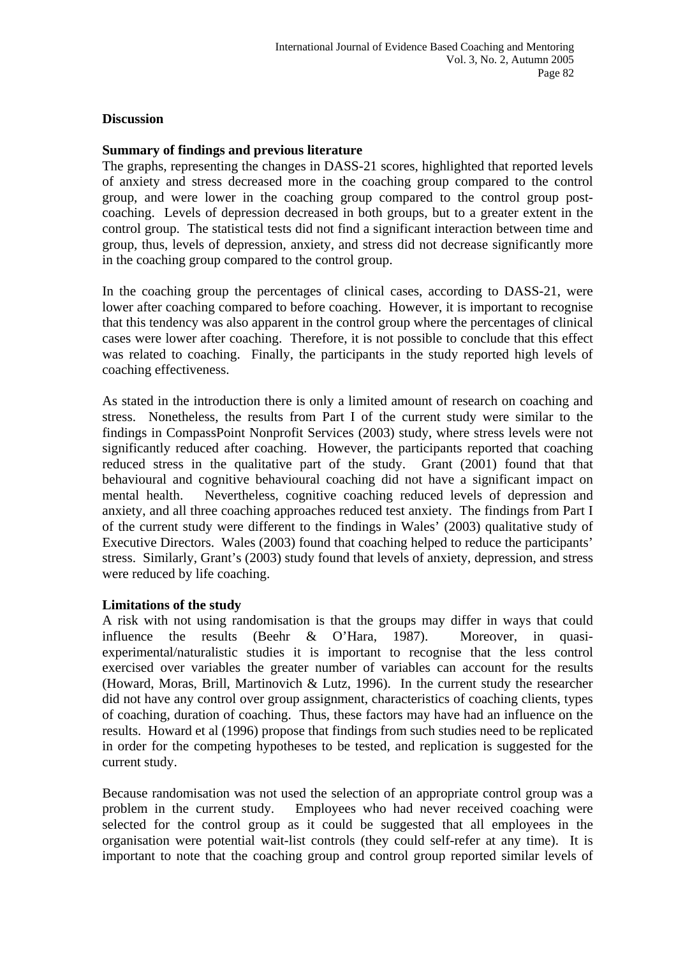#### **Discussion**

#### **Summary of findings and previous literature**

The graphs, representing the changes in DASS-21 scores, highlighted that reported levels of anxiety and stress decreased more in the coaching group compared to the control group, and were lower in the coaching group compared to the control group postcoaching. Levels of depression decreased in both groups, but to a greater extent in the control group. The statistical tests did not find a significant interaction between time and group, thus, levels of depression, anxiety, and stress did not decrease significantly more in the coaching group compared to the control group.

In the coaching group the percentages of clinical cases, according to DASS-21, were lower after coaching compared to before coaching. However, it is important to recognise that this tendency was also apparent in the control group where the percentages of clinical cases were lower after coaching. Therefore, it is not possible to conclude that this effect was related to coaching. Finally, the participants in the study reported high levels of coaching effectiveness.

As stated in the introduction there is only a limited amount of research on coaching and stress. Nonetheless, the results from Part I of the current study were similar to the findings in CompassPoint Nonprofit Services (2003) study, where stress levels were not significantly reduced after coaching. However, the participants reported that coaching reduced stress in the qualitative part of the study. Grant (2001) found that that behavioural and cognitive behavioural coaching did not have a significant impact on mental health. Nevertheless, cognitive coaching reduced levels of depression and anxiety, and all three coaching approaches reduced test anxiety. The findings from Part I of the current study were different to the findings in Wales' (2003) qualitative study of Executive Directors. Wales (2003) found that coaching helped to reduce the participants' stress. Similarly, Grant's (2003) study found that levels of anxiety, depression, and stress were reduced by life coaching.

#### **Limitations of the study**

A risk with not using randomisation is that the groups may differ in ways that could influence the results (Beehr & O'Hara, 1987). Moreover, in quasiexperimental/naturalistic studies it is important to recognise that the less control exercised over variables the greater number of variables can account for the results (Howard, Moras, Brill, Martinovich & Lutz, 1996). In the current study the researcher did not have any control over group assignment, characteristics of coaching clients, types of coaching, duration of coaching. Thus, these factors may have had an influence on the results. Howard et al (1996) propose that findings from such studies need to be replicated in order for the competing hypotheses to be tested, and replication is suggested for the current study.

Because randomisation was not used the selection of an appropriate control group was a problem in the current study. Employees who had never received coaching were selected for the control group as it could be suggested that all employees in the organisation were potential wait-list controls (they could self-refer at any time). It is important to note that the coaching group and control group reported similar levels of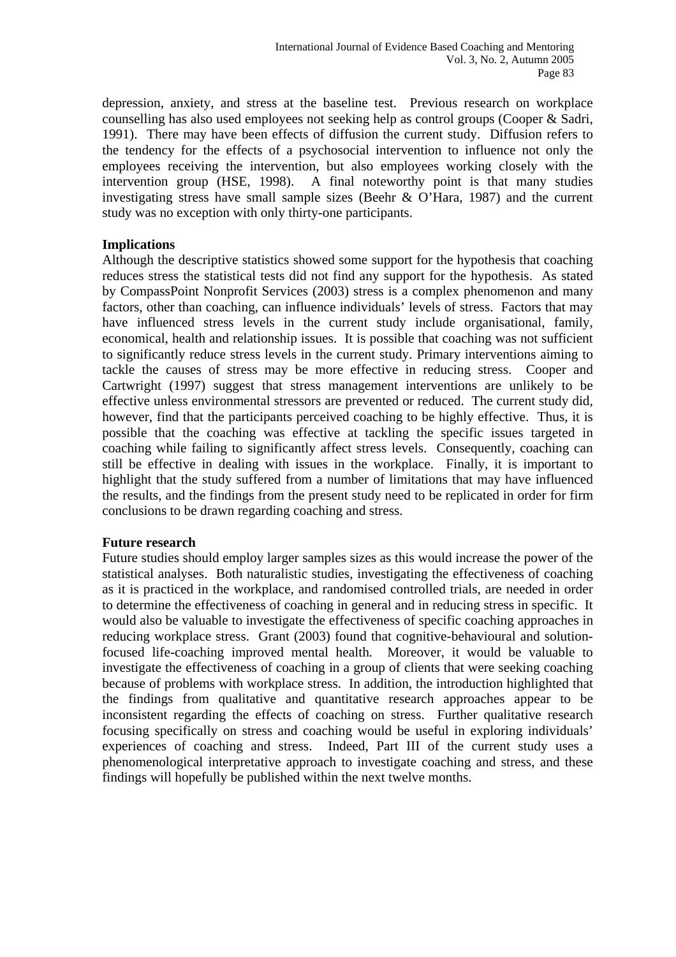depression, anxiety, and stress at the baseline test. Previous research on workplace counselling has also used employees not seeking help as control groups (Cooper & Sadri, 1991). There may have been effects of diffusion the current study. Diffusion refers to the tendency for the effects of a psychosocial intervention to influence not only the employees receiving the intervention, but also employees working closely with the intervention group (HSE, 1998). A final noteworthy point is that many studies investigating stress have small sample sizes (Beehr & O'Hara, 1987) and the current study was no exception with only thirty-one participants.

# **Implications**

Although the descriptive statistics showed some support for the hypothesis that coaching reduces stress the statistical tests did not find any support for the hypothesis. As stated by CompassPoint Nonprofit Services (2003) stress is a complex phenomenon and many factors, other than coaching, can influence individuals' levels of stress. Factors that may have influenced stress levels in the current study include organisational, family, economical, health and relationship issues. It is possible that coaching was not sufficient to significantly reduce stress levels in the current study. Primary interventions aiming to tackle the causes of stress may be more effective in reducing stress. Cooper and Cartwright (1997) suggest that stress management interventions are unlikely to be effective unless environmental stressors are prevented or reduced. The current study did, however, find that the participants perceived coaching to be highly effective. Thus, it is possible that the coaching was effective at tackling the specific issues targeted in coaching while failing to significantly affect stress levels. Consequently, coaching can still be effective in dealing with issues in the workplace. Finally, it is important to highlight that the study suffered from a number of limitations that may have influenced the results, and the findings from the present study need to be replicated in order for firm conclusions to be drawn regarding coaching and stress.

#### **Future research**

Future studies should employ larger samples sizes as this would increase the power of the statistical analyses. Both naturalistic studies, investigating the effectiveness of coaching as it is practiced in the workplace, and randomised controlled trials, are needed in order to determine the effectiveness of coaching in general and in reducing stress in specific. It would also be valuable to investigate the effectiveness of specific coaching approaches in reducing workplace stress. Grant (2003) found that cognitive-behavioural and solutionfocused life-coaching improved mental health. Moreover, it would be valuable to investigate the effectiveness of coaching in a group of clients that were seeking coaching because of problems with workplace stress. In addition, the introduction highlighted that the findings from qualitative and quantitative research approaches appear to be inconsistent regarding the effects of coaching on stress. Further qualitative research focusing specifically on stress and coaching would be useful in exploring individuals' experiences of coaching and stress. Indeed, Part III of the current study uses a phenomenological interpretative approach to investigate coaching and stress, and these findings will hopefully be published within the next twelve months.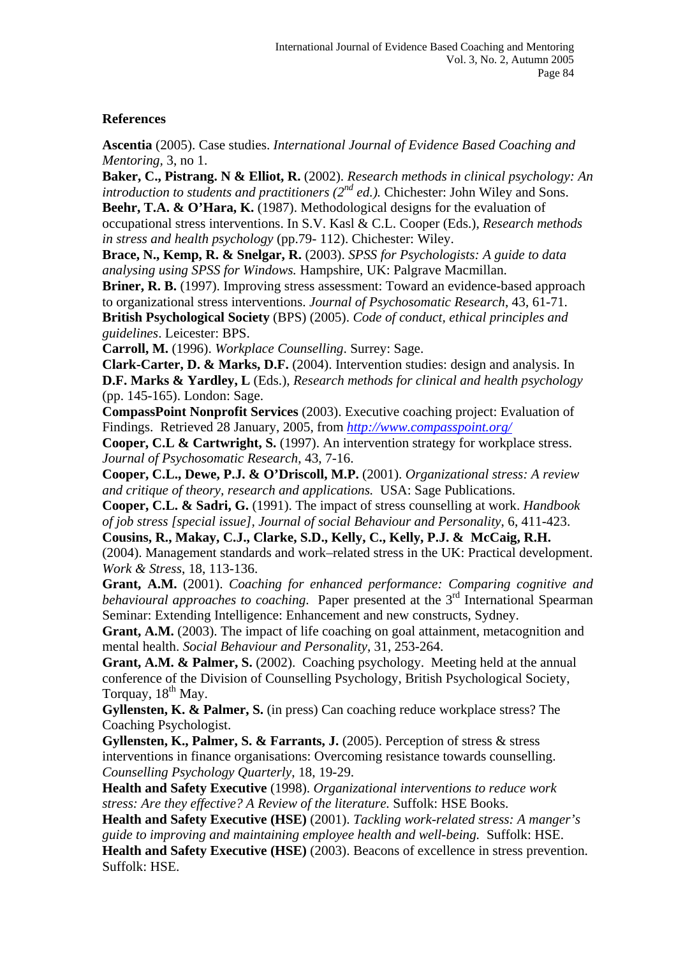# **References**

**Ascentia** (2005). Case studies. *International Journal of Evidence Based Coaching and Mentoring,* 3, no 1.

**Baker, C., Pistrang. N & Elliot, R.** (2002). *Research methods in clinical psychology: An introduction to students and practitioners (2<sup>nd</sup> ed.).* Chichester: John Wiley and Sons.

**Beehr, T.A. & O'Hara, K.** (1987). Methodological designs for the evaluation of occupational stress interventions. In S.V. Kasl & C.L. Cooper (Eds.), *Research methods in stress and health psychology* (pp.79- 112). Chichester: Wiley.

**Brace, N., Kemp, R. & Snelgar, R.** (2003). *SPSS for Psychologists: A guide to data analysing using SPSS for Windows.* Hampshire, UK: Palgrave Macmillan.

**Briner, R. B.** (1997). Improving stress assessment: Toward an evidence-based approach to organizational stress interventions. *Journal of Psychosomatic Research*, 43, 61-71. **British Psychological Society** (BPS) (2005). *Code of conduct, ethical principles and guidelines*. Leicester: BPS.

**Carroll, M.** (1996). *Workplace Counselling*. Surrey: Sage.

**Clark-Carter, D. & Marks, D.F.** (2004). Intervention studies: design and analysis. In **D.F. Marks & Yardley, L** (Eds.), *Research methods for clinical and health psychology* (pp. 145-165). London: Sage.

**CompassPoint Nonprofit Services** (2003). Executive coaching project: Evaluation of Findings. Retrieved 28 January, 2005, from *<http://www.compasspoint.org/>*

**Cooper, C.L & Cartwright, S.** (1997). An intervention strategy for workplace stress. *Journal of Psychosomatic Research*, 43, 7-16.

**Cooper, C.L., Dewe, P.J. & O'Driscoll, M.P.** (2001). *Organizational stress: A review and critique of theory, research and applications.* USA: Sage Publications.

**Cooper, C.L. & Sadri, G.** (1991). The impact of stress counselling at work. *Handbook of job stress [special issue], Journal of social Behaviour and Personality*, 6, 411-423.

**Cousins, R., Makay, C.J., Clarke, S.D., Kelly, C., Kelly, P.J. & McCaig, R.H.** (2004). Management standards and work–related stress in the UK: Practical development.

*Work & Stress*, 18, 113-136.

**Grant, A.M.** (2001). *Coaching for enhanced performance: Comparing cognitive and behavioural approaches to coaching*. Paper presented at the 3<sup>rd</sup> International Spearman Seminar: Extending Intelligence: Enhancement and new constructs, Sydney.

**Grant, A.M.** (2003). The impact of life coaching on goal attainment, metacognition and mental health. *Social Behaviour and Personality*, 31, 253-264.

**Grant, A.M. & Palmer, S.** (2002). Coaching psychology. Meeting held at the annual conference of the Division of Counselling Psychology, British Psychological Society, Torquay,  $18<sup>th</sup>$  May.

**Gyllensten, K. & Palmer, S.** (in press) Can coaching reduce workplace stress? The Coaching Psychologist.

**Gyllensten, K., Palmer, S. & Farrants, J.** (2005). Perception of stress & stress interventions in finance organisations: Overcoming resistance towards counselling. *Counselling Psychology Quarterly*, 18, 19-29.

**Health and Safety Executive** (1998). *Organizational interventions to reduce work stress: Are they effective? A Review of the literature.* Suffolk: HSE Books.

**Health and Safety Executive (HSE)** (2001). *Tackling work-related stress: A manger's guide to improving and maintaining employee health and well-being.* Suffolk: HSE.

**Health and Safety Executive (HSE)** (2003). Beacons of excellence in stress prevention. Suffolk: HSE.